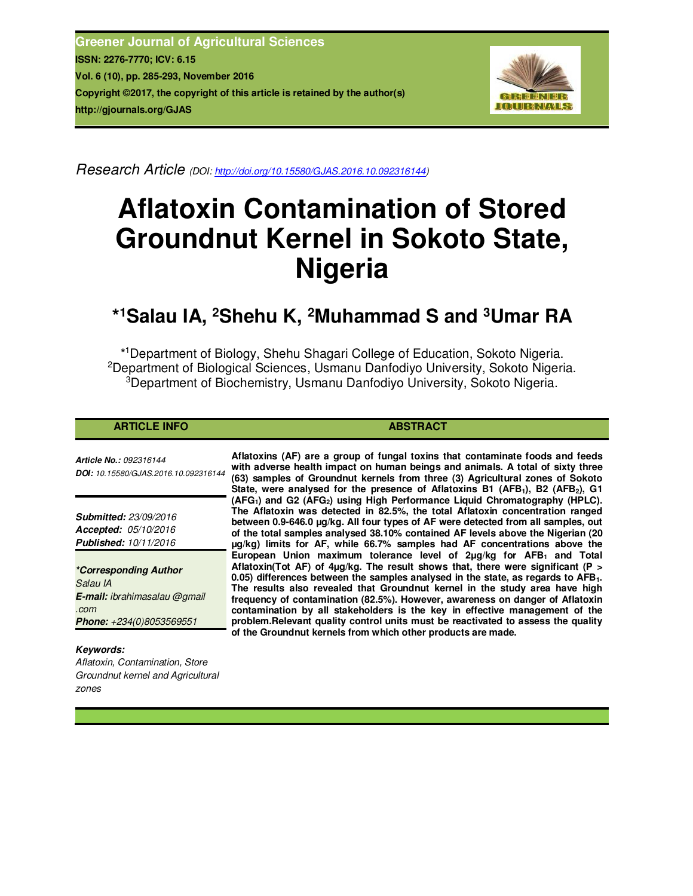**Greener Journal of Agricultural Sciences ISSN: 2276-7770; ICV: 6.15 Vol. 6 (10), pp. 285-293, November 2016 Copyright ©2017, the copyright of this article is retained by the author(s) http://gjournals.org/GJAS**



*Research Article (DOI: http://doi.org/10.15580/GJAS.2016.10.092316144)*

# **Aflatoxin Contamination of Stored Groundnut Kernel in Sokoto State, Nigeria**

# **\* <sup>1</sup>Salau IA, <sup>2</sup>Shehu K, <sup>2</sup>Muhammad S and <sup>3</sup>Umar RA**

\* <sup>1</sup>Department of Biology, Shehu Shagari College of Education, Sokoto Nigeria. <sup>2</sup>Department of Biological Sciences, Usmanu Danfodiyo University, Sokoto Nigeria. <sup>3</sup>Department of Biochemistry, Usmanu Danfodiyo University, Sokoto Nigeria.

# **ARTICLE INFO ABSTRACT**

*Article No.: 092316144 DOI: 10.15580/GJAS.2016.10.092316144*

*Submitted: 23/09/2016 Accepted: 05/10/2016 Published: 10/11/2016*

*\*Corresponding Author Salau IA E-mail: ibrahimasalau @gmail .com Phone: +234(0)8053569551*

# *Keywords:*

*Aflatoxin, Contamination, Store Groundnut kernel and Agricultural zones*

**Aflatoxins (AF) are a group of fungal toxins that contaminate foods and feeds with adverse health impact on human beings and animals. A total of sixty three (63) samples of Groundnut kernels from three (3) Agricultural zones of Sokoto State, were analysed for the presence of Aflatoxins B1 (AFB1), B2 (AFB2), G1 (AFG1) and G2 (AFG2) using High Performance Liquid Chromatography (HPLC). The Aflatoxin was detected in 82.5%, the total Aflatoxin concentration ranged between 0.9-646.0 µg/kg. All four types of AF were detected from all samples, out of the total samples analysed 38.10% contained AF levels above the Nigerian (20 µg/kg) limits for AF, while 66.7% samples had AF concentrations above the European Union maximum tolerance level of 2µg/kg for AFB1 and Total Aflatoxin(Tot AF) of 4µg/kg. The result shows that, there were significant (P > 0.05) differences between the samples analysed in the state, as regards to AFB1. The results also revealed that Groundnut kernel in the study area have high frequency of contamination (82.5%). However, awareness on danger of Aflatoxin contamination by all stakeholders is the key in effective management of the problem.Relevant quality control units must be reactivated to assess the quality of the Groundnut kernels from which other products are made.**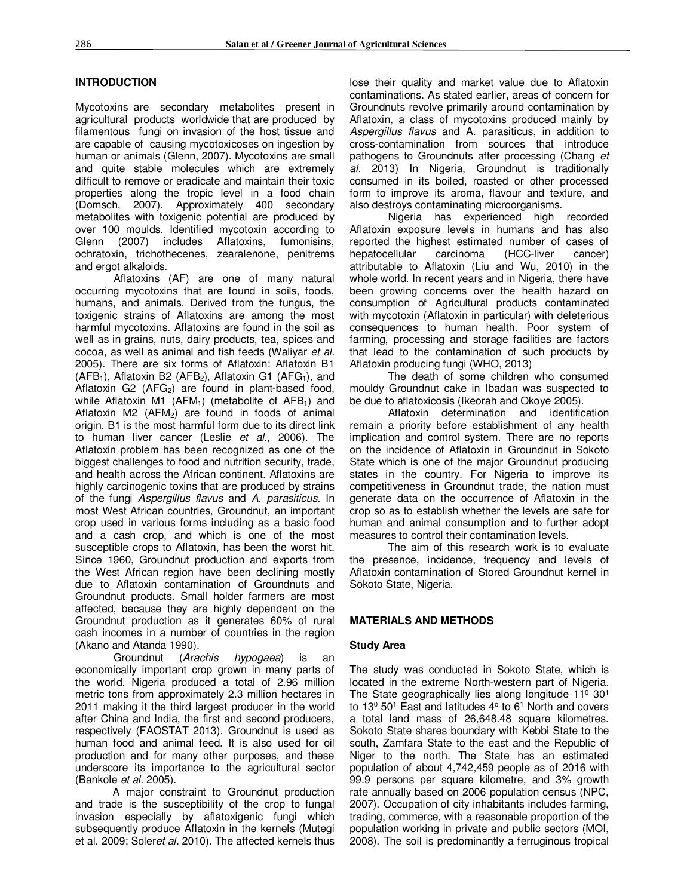#### **INTRODUCTION**

Mycotoxins are secondary metabolites present in agricultural products worldwide that are produced by filamentous fungi on invasion of the host tissue and are capable of causing mycotoxicoses on ingestion by human or animals (Glenn, 2007). Mycotoxins are small and quite stable molecules which are extremely difficult to remove or eradicate and maintain their toxic properties along the tropic level in a food chain (Domsch, 2007). Approximately 400 secondary metabolites with toxigenic potential are produced by over 100 moulds. Identified mycotoxin according to Glenn (2007) includes Aflatoxins, fumonisins, ochratoxin, trichothecenes, zearalenone, penitrems and ergot alkaloids.

Aflatoxins (AF) are one of many natural occurring mycotoxins that are found in soils, foods, humans, and animals. Derived from the fungus, the toxigenic strains of Aflatoxins are among the most harmful mycotoxins. Aflatoxins are found in the soil as well as in grains, nuts, dairy products, tea, spices and cocoa, as well as animal and fish feeds (Waliyar *et al.* 2005). There are six forms of Aflatoxin: Aflatoxin B1  $(AFB<sub>1</sub>)$ , Aflatoxin B2 (AFB<sub>2</sub>), Aflatoxin G1 (AFG<sub>1</sub>), and Aflatoxin G2  $(AFG<sub>2</sub>)$  are found in plant-based food, while Aflatoxin M1 (AFM<sub>1</sub>) (metabolite of AFB<sub>1</sub>) and Aflatoxin M2  $(AFM<sub>2</sub>)$  are found in foods of animal origin. B1 is the most harmful form due to its direct link to human liver cancer (Leslie *et al.,* 2006). The Aflatoxin problem has been recognized as one of the biggest challenges to food and nutrition security, trade, and health across the African continent. Aflatoxins are highly carcinogenic toxins that are produced by strains of the fungi *Aspergillus flavus* and *A. parasiticus*. In most West African countries, Groundnut, an important crop used in various forms including as a basic food and a cash crop, and which is one of the most susceptible crops to Aflatoxin, has been the worst hit. Since 1960, Groundnut production and exports from the West African region have been declining mostly due to Aflatoxin contamination of Groundnuts and Groundnut products. Small holder farmers are most affected, because they are highly dependent on the Groundnut production as it generates 60% of rural cash incomes in a number of countries in the region (Akano and Atanda 1990).

Groundnut (*Arachis hypogaea*) is an economically important crop grown in many parts of the world. Nigeria produced a total of 2.96 million metric tons from approximately 2.3 million hectares in 2011 making it the third largest producer in the world after China and India, the first and second producers, respectively (FAOSTAT 2013). Groundnut is used as human food and animal feed. It is also used for oil production and for many other purposes, and these underscore its importance to the agricultural sector (Bankole *et al.* 2005).

A major constraint to Groundnut production and trade is the susceptibility of the crop to fungal invasion especially by aflatoxigenic fungi which subsequently produce Aflatoxin in the kernels (Mutegi et al. 2009; Soler*et al*. 2010). The affected kernels thus lose their quality and market value due to Aflatoxin contaminations. As stated earlier, areas of concern for Groundnuts revolve primarily around contamination by Aflatoxin, a class of mycotoxins produced mainly by *Aspergillus flavus* and A. parasiticus, in addition to cross-contamination from sources that introduce pathogens to Groundnuts after processing (Chang *et al*. 2013) In Nigeria, Groundnut is traditionally consumed in its boiled, roasted or other processed form to improve its aroma, flavour and texture, and also destroys contaminating microorganisms.

Nigeria has experienced high recorded Aflatoxin exposure levels in humans and has also reported the highest estimated number of cases of hepatocellular carcinoma (HCC-liver cancer) attributable to Aflatoxin (Liu and Wu, 2010) in the whole world. In recent years and in Nigeria, there have been growing concerns over the health hazard on consumption of Agricultural products contaminated with mycotoxin (Aflatoxin in particular) with deleterious consequences to human health. Poor system of farming, processing and storage facilities are factors that lead to the contamination of such products by Aflatoxin producing fungi (WHO, 2013)

The death of some children who consumed mouldy Groundnut cake in Ibadan was suspected to be due to aflatoxicosis (Ikeorah and Okoye 2005).

Aflatoxin determination and identification remain a priority before establishment of any health implication and control system. There are no reports on the incidence of Aflatoxin in Groundnut in Sokoto State which is one of the major Groundnut producing states in the country. For Nigeria to improve its competitiveness in Groundnut trade, the nation must generate data on the occurrence of Aflatoxin in the crop so as to establish whether the levels are safe for human and animal consumption and to further adopt measures to control their contamination levels.

The aim of this research work is to evaluate the presence, incidence, frequency and levels of Aflatoxin contamination of Stored Groundnut kernel in Sokoto State, Nigeria.

#### **MATERIALS AND METHODS**

#### **Study Area**

The study was conducted in Sokoto State, which is located in the extreme North-western part of Nigeria. The State geographically lies along longitude 11<sup>0</sup> 30<sup>1</sup> to 13<sup>0</sup> 50<sup>1</sup> East and latitudes  $4^{\circ}$  to 6<sup>1</sup> North and covers a total land mass of 26,648.48 square kilometres. Sokoto State shares boundary with Kebbi State to the south, Zamfara State to the east and the Republic of Niger to the north. The State has an estimated population of about 4,742,459 people as of 2016 with 99.9 persons per square kilometre, and 3% growth rate annually based on 2006 population census (NPC, 2007). Occupation of city inhabitants includes farming, trading, commerce, with a reasonable proportion of the population working in private and public sectors (MOI, 2008). The soil is predominantly a ferruginous tropical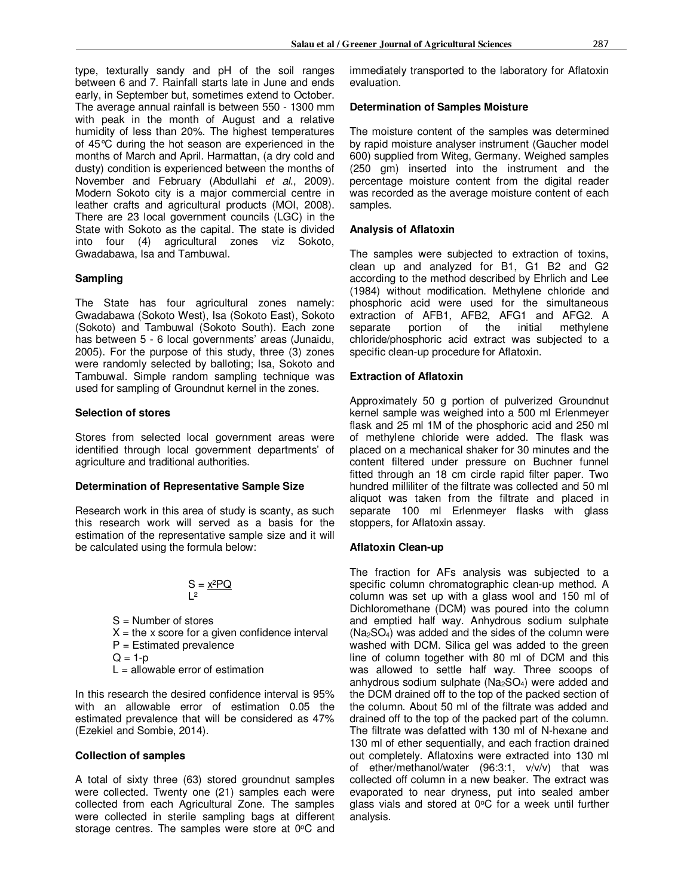type, texturally sandy and pH of the soil ranges between 6 and 7. Rainfall starts late in June and ends early, in September but, sometimes extend to October. The average annual rainfall is between 550 - 1300 mm with peak in the month of August and a relative humidity of less than 20%. The highest temperatures of 45°C during the hot season are experienced in the months of March and April. Harmattan, (a dry cold and dusty) condition is experienced between the months of November and February (Abdullahi *et al*., 2009). Modern Sokoto city is a major commercial centre in leather crafts and agricultural products (MOI, 2008). There are 23 local government councils (LGC) in the State with Sokoto as the capital. The state is divided into four (4) agricultural zones viz Sokoto, Gwadabawa, Isa and Tambuwal.

# **Sampling**

The State has four agricultural zones namely: Gwadabawa (Sokoto West), Isa (Sokoto East), Sokoto (Sokoto) and Tambuwal (Sokoto South). Each zone has between 5 - 6 local governments' areas (Junaidu, 2005). For the purpose of this study, three (3) zones were randomly selected by balloting; Isa, Sokoto and Tambuwal. Simple random sampling technique was used for sampling of Groundnut kernel in the zones.

#### **Selection of stores**

Stores from selected local government areas were identified through local government departments' of agriculture and traditional authorities.

#### **Determination of Representative Sample Size**

Research work in this area of study is scanty, as such this research work will served as a basis for the estimation of the representative sample size and it will be calculated using the formula below:

$$
S = \frac{x^2 PQ}{L^2}
$$

- S = Number of stores
- $X =$  the x score for a given confidence interval
- P = Estimated prevalence
- $Q = 1-p$
- $L =$  allowable error of estimation

In this research the desired confidence interval is 95% with an allowable error of estimation 0.05 the estimated prevalence that will be considered as 47% (Ezekiel and Sombie, 2014).

#### **Collection of samples**

A total of sixty three (63) stored groundnut samples were collected. Twenty one (21) samples each were collected from each Agricultural Zone. The samples were collected in sterile sampling bags at different storage centres. The samples were store at  $0^{\circ}$ C and immediately transported to the laboratory for Aflatoxin evaluation.

#### **Determination of Samples Moisture**

The moisture content of the samples was determined by rapid moisture analyser instrument (Gaucher model 600) supplied from Witeg, Germany. Weighed samples (250 gm) inserted into the instrument and the percentage moisture content from the digital reader was recorded as the average moisture content of each samples.

#### **Analysis of Aflatoxin**

The samples were subjected to extraction of toxins, clean up and analyzed for B1, G1 B2 and G2 according to the method described by Ehrlich and Lee (1984) without modification. Methylene chloride and phosphoric acid were used for the simultaneous extraction of AFB1, AFB2, AFG1 and AFG2. A separate portion of the initial methylene chloride/phosphoric acid extract was subjected to a specific clean-up procedure for Aflatoxin.

#### **Extraction of Aflatoxin**

Approximately 50 g portion of pulverized Groundnut kernel sample was weighed into a 500 ml Erlenmeyer flask and 25 ml 1M of the phosphoric acid and 250 ml of methylene chloride were added. The flask was placed on a mechanical shaker for 30 minutes and the content filtered under pressure on Buchner funnel fitted through an 18 cm circle rapid filter paper. Two hundred milliliter of the filtrate was collected and 50 ml aliquot was taken from the filtrate and placed in separate 100 ml Erlenmeyer flasks with glass stoppers, for Aflatoxin assay.

#### **Aflatoxin Clean-up**

The fraction for AFs analysis was subjected to a specific column chromatographic clean-up method. A column was set up with a glass wool and 150 ml of Dichloromethane (DCM) was poured into the column and emptied half way. Anhydrous sodium sulphate  $(Na<sub>2</sub>SO<sub>4</sub>)$  was added and the sides of the column were washed with DCM. Silica gel was added to the green line of column together with 80 ml of DCM and this was allowed to settle half way. Three scoops of anhydrous sodium sulphate (Na<sub>2</sub>SO<sub>4</sub>) were added and the DCM drained off to the top of the packed section of the column. About 50 ml of the filtrate was added and drained off to the top of the packed part of the column. The filtrate was defatted with 130 ml of N-hexane and 130 ml of ether sequentially, and each fraction drained out completely. Aflatoxins were extracted into 130 ml of ether/methanol/water (96:3:1, v/v/v) that was collected off column in a new beaker. The extract was evaporated to near dryness, put into sealed amber glass vials and stored at  $0^{\circ}$ C for a week until further analysis.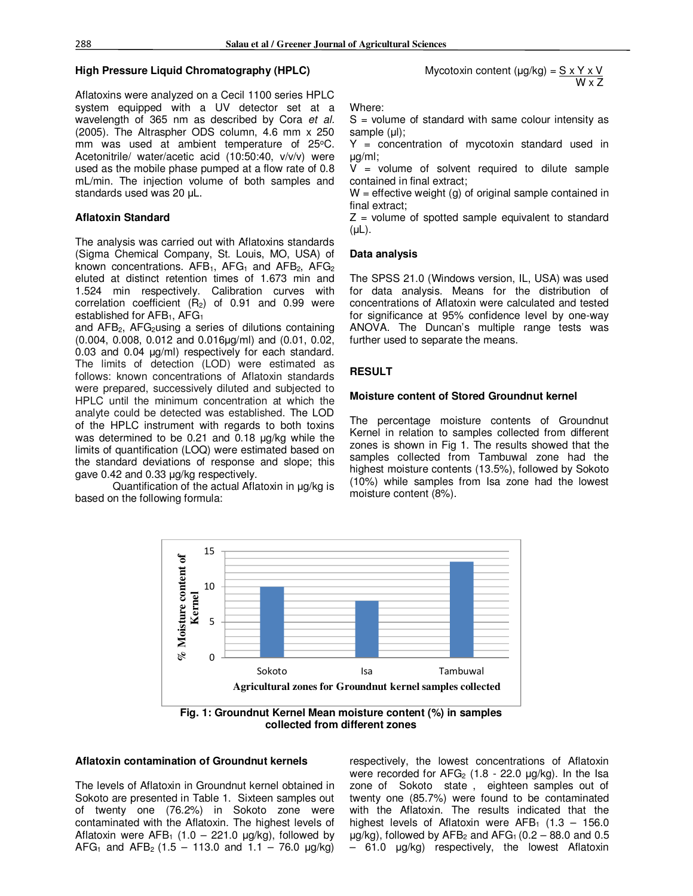# **High Pressure Liquid Chromatography (HPLC)**

Aflatoxins were analyzed on a Cecil 1100 series HPLC system equipped with a UV detector set at a wavelength of 365 nm as described by Cora *et al.* (2005). The Altraspher ODS column, 4.6 mm x 250 mm was used at ambient temperature of 25°C. Acetonitrile/ water/acetic acid (10:50:40, v/v/v) were used as the mobile phase pumped at a flow rate of 0.8 mL/min. The injection volume of both samples and standards used was 20 µL.

# **Aflatoxin Standard**

The analysis was carried out with Aflatoxins standards (Sigma Chemical Company, St. Louis, MO, USA) of known concentrations.  $AFB<sub>1</sub>$ ,  $AFG<sub>1</sub>$  and  $AFB<sub>2</sub>$ ,  $AFG<sub>2</sub>$ eluted at distinct retention times of 1.673 min and 1.524 min respectively. Calibration curves with correlation coefficient  $(R_2)$  of 0.91 and 0.99 were established for AFB<sub>1</sub>, AFG<sub>1</sub>

and  $AFB<sub>2</sub>$ ,  $AFG<sub>2</sub>$ using a series of dilutions containing (0.004, 0.008, 0.012 and 0.016µg/ml) and (0.01, 0.02, 0.03 and 0.04 µg/ml) respectively for each standard. The limits of detection (LOD) were estimated as follows: known concentrations of Aflatoxin standards were prepared, successively diluted and subjected to HPLC until the minimum concentration at which the analyte could be detected was established. The LOD of the HPLC instrument with regards to both toxins was determined to be 0.21 and 0.18  $\mu q/kg$  while the limits of quantification (LOQ) were estimated based on the standard deviations of response and slope; this gave 0.42 and 0.33 µg/kg respectively.

Quantification of the actual Aflatoxin in µg/kg is based on the following formula:



Where:

 $S =$  volume of standard with same colour intensity as sample (µl);

 $Y =$  concentration of mycotoxin standard used in µg/ml;

 $V =$  volume of solvent required to dilute sample contained in final extract;

 $W =$  effective weight (g) of original sample contained in final extract;

 $Z =$  volume of spotted sample equivalent to standard  $(\mu L)$ .

#### **Data analysis**

The SPSS 21.0 (Windows version, IL, USA) was used for data analysis. Means for the distribution of concentrations of Aflatoxin were calculated and tested for significance at 95% confidence level by one-way ANOVA. The Duncan's multiple range tests was further used to separate the means.

#### **RESULT**

#### **Moisture content of Stored Groundnut kernel**

The percentage moisture contents of Groundnut Kernel in relation to samples collected from different zones is shown in Fig 1. The results showed that the samples collected from Tambuwal zone had the highest moisture contents (13.5%), followed by Sokoto (10%) while samples from Isa zone had the lowest moisture content (8%).



**collected from different zones** 

# **Aflatoxin contamination of Groundnut kernels**

The levels of Aflatoxin in Groundnut kernel obtained in Sokoto are presented in Table 1. Sixteen samples out of twenty one (76.2%) in Sokoto zone were contaminated with the Aflatoxin. The highest levels of Aflatoxin were  $AFB_1$  (1.0 – 221.0 µg/kg), followed by  $AFG<sub>1</sub>$  and  $AFB<sub>2</sub>$  (1.5 – 113.0 and 1.1 – 76.0  $\mu$ g/kg)

respectively, the lowest concentrations of Aflatoxin were recorded for  $AFG<sub>2</sub>$  (1.8 - 22.0 µg/kg). In the Isa zone of Sokoto state , eighteen samples out of twenty one (85.7%) were found to be contaminated with the Aflatoxin. The results indicated that the highest levels of Aflatoxin were  $AFB<sub>1</sub>$  (1.3 – 156.0)  $\mu$ g/kg), followed by AFB<sub>2</sub> and AFG<sub>1</sub> (0.2 – 88.0 and 0.5 – 61.0 µg/kg) respectively, the lowest Aflatoxin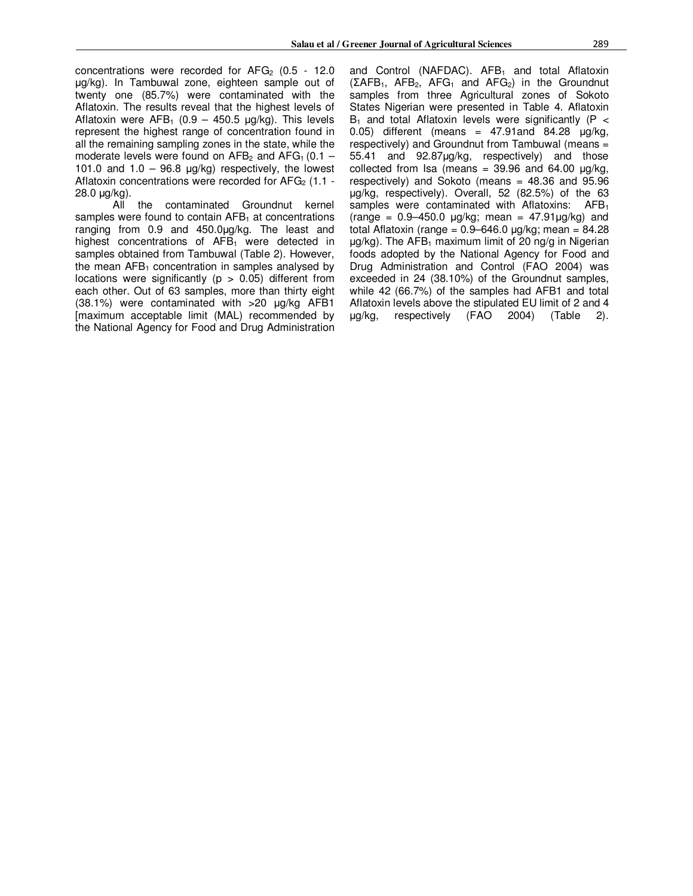concentrations were recorded for  $AFG<sub>2</sub>$  (0.5 - 12.0) µg/kg). In Tambuwal zone, eighteen sample out of twenty one (85.7%) were contaminated with the Aflatoxin. The results reveal that the highest levels of Aflatoxin were  $AFB_1$  (0.9 – 450.5  $\mu q/kg$ ). This levels represent the highest range of concentration found in all the remaining sampling zones in the state, while the moderate levels were found on  $AFB<sub>2</sub>$  and  $AFG<sub>1</sub>$  (0.1 – 101.0 and  $1.0 - 96.8$  µg/kg) respectively, the lowest Aflatoxin concentrations were recorded for  $AFG<sub>2</sub>$  (1.1 -28.0 µg/kg).

All the contaminated Groundnut kernel samples were found to contain  $AFB<sub>1</sub>$  at concentrations ranging from 0.9 and 450.0µg/kg. The least and highest concentrations of  $AFB<sub>1</sub>$  were detected in samples obtained from Tambuwal (Table 2). However, the mean  $AFB<sub>1</sub>$  concentration in samples analysed by locations were significantly ( $p > 0.05$ ) different from each other. Out of 63 samples, more than thirty eight (38.1%) were contaminated with >20 µg/kg AFB1 [maximum acceptable limit (MAL) recommended by the National Agency for Food and Drug Administration and Control (NAFDAC).  $AFB<sub>1</sub>$  and total Aflatoxin  $(\Sigma AFB_1, AFB_2, AFG_1, and AFG_2)$  in the Groundnut samples from three Agricultural zones of Sokoto States Nigerian were presented in Table 4. Aflatoxin  $B_1$  and total Aflatoxin levels were significantly (P < 0.05) different (means =  $47.91$ and  $84.28$   $\mu$ g/kg, respectively) and Groundnut from Tambuwal (means = 55.41 and 92.87µg/kg, respectively) and those collected from Isa (means =  $39.96$  and  $64.00$   $\mu$ g/kg, respectively) and Sokoto (means = 48.36 and 95.96 µg/kg, respectively). Overall, 52 (82.5%) of the 63 samples were contaminated with Aflatoxins: AFB<sub>1</sub>  $(range = 0.9 - 450.0 \mu g/kg$ ; mean = 47.91 $\mu g/kg$  and total Aflatoxin (range =  $0.9 - 646.0$  µg/kg; mean =  $84.28$  $\mu q/kg$ ). The AFB<sub>1</sub> maximum limit of 20 ng/g in Nigerian foods adopted by the National Agency for Food and Drug Administration and Control (FAO 2004) was exceeded in 24 (38.10%) of the Groundnut samples, while 42 (66.7%) of the samples had AFB1 and total Aflatoxin levels above the stipulated EU limit of 2 and 4  $\mu q/kg$ , respectively (FAO 2004) (Table 2). µg/kg, respectively (FAO 2004) (Table 2).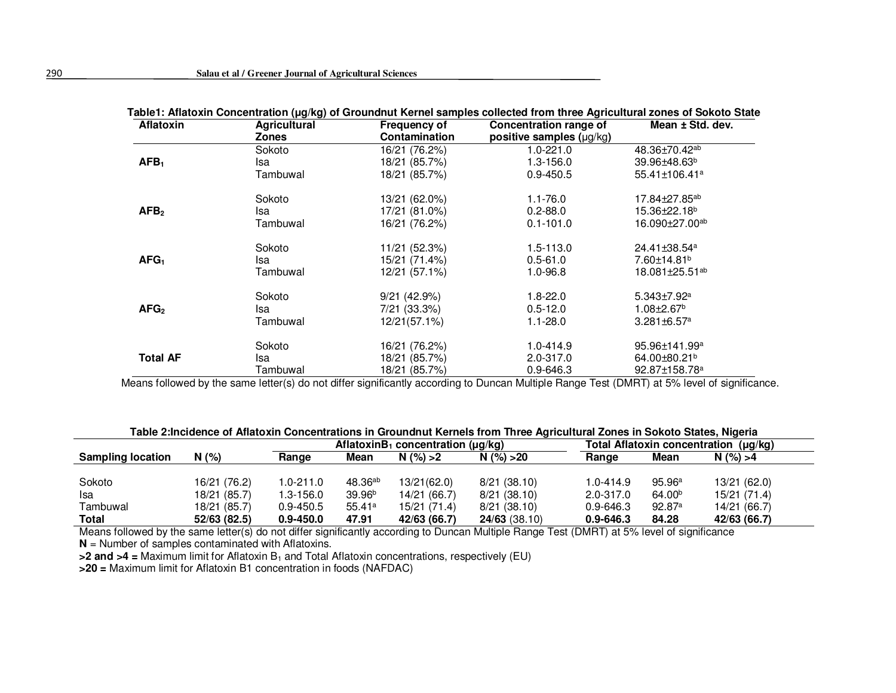| Aflatoxin        | <b>Agricultural</b> | <b>Frequency of</b>  | Concentration range of        | Mean ± Std. dev.              |  |
|------------------|---------------------|----------------------|-------------------------------|-------------------------------|--|
|                  | <b>Zones</b>        | <b>Contamination</b> | positive samples $(\mu g/kg)$ |                               |  |
|                  | Sokoto              | 16/21 (76.2%)        | $1.0 - 221.0$                 | 48.36±70.42 <sup>ab</sup>     |  |
| AFB <sub>1</sub> | Isa                 | 18/21 (85.7%)        | $1.3 - 156.0$                 | 39.96±48.63 <sup>b</sup>      |  |
|                  | Tambuwal            | 18/21 (85.7%)        | $0.9 - 450.5$                 | 55.41±106.41 <sup>a</sup>     |  |
|                  | Sokoto              | 13/21 (62.0%)        | $1.1 - 76.0$                  | 17.84±27.85 <sup>ab</sup>     |  |
| AFB <sub>2</sub> | Isa                 | 17/21 (81.0%)        | $0.2 - 88.0$                  | 15.36±22.18 <sup>b</sup>      |  |
|                  | Tambuwal            | 16/21 (76.2%)        | $0.1 - 101.0$                 | 16.090±27.00 <sup>ab</sup>    |  |
|                  | Sokoto              | 11/21 (52.3%)        | $1.5 - 113.0$                 | 24.41±38.54 <sup>a</sup>      |  |
| AFG <sub>1</sub> | Isa                 | 15/21 (71.4%)        | $0.5 - 61.0$                  | 7.60±14.81 <sup>b</sup>       |  |
|                  | Tambuwal            | 12/21 (57.1%)        | $1.0 - 96.8$                  | 18.081±25.51 <sup>ab</sup>    |  |
|                  | Sokoto              | $9/21$ (42.9%)       | $1.8 - 22.0$                  | $5.343 \pm 7.92$ <sup>a</sup> |  |
| AFG <sub>2</sub> | Isa                 | 7/21 (33.3%)         | $0.5 - 12.0$                  | $1.08 \pm 2.67$ <sup>b</sup>  |  |
|                  | Tambuwal            | 12/21(57.1%)         | $1.1 - 28.0$                  | $3.281 \pm 6.57$ <sup>a</sup> |  |
|                  | Sokoto              | 16/21 (76.2%)        | 1.0-414.9                     | 95.96±141.99 <sup>a</sup>     |  |
| <b>Total AF</b>  | Isa                 | 18/21 (85.7%)        | 2.0-317.0                     | 64.00±80.21 <sup>b</sup>      |  |
|                  | Tambuwal            | 18/21 (85.7%)        | $0.9 - 646.3$                 | 92.87±158.78 <sup>a</sup>     |  |

**Table1: Aflatoxin Concentration (µg/kg) of Groundnut Kernel samples collected from three Agricultural zones of Sokoto State** 

Means followed by the same letter(s) do not differ significantly according to Duncan Multiple Range Test (DMRT) at 5% level of significance.

|  | Table 2:Incidence of Aflatoxin Concentrations in Groundnut Kernels from Three Agricultural Zones in Sokoto States, Nigeria |  |
|--|----------------------------------------------------------------------------------------------------------------------------|--|
|  |                                                                                                                            |  |

|                          |              | AflatoxinB <sub>1</sub> concentration ( $\mu$ g/kg) |                    |              | Total Aflatoxin concentration (µg/kg) |               |                    |              |
|--------------------------|--------------|-----------------------------------------------------|--------------------|--------------|---------------------------------------|---------------|--------------------|--------------|
| <b>Sampling location</b> | N(% )        | Range                                               | Mean               | N(%)>2       | N(%) > 20                             | Range         | Mean               | N(%) > 4     |
|                          |              |                                                     |                    |              |                                       |               |                    |              |
| Sokoto                   | 16/21 (76.2) | $1.0 - 211.0$                                       | $48.36^{ab}$       | 13/21(62.0)  | 8/21(38.10)                           | 1.0-414.9     | 95.96 <sup>a</sup> | 13/21 (62.0) |
| Isa                      | 18/21 (85.7) | 1.3-156.0                                           | 39.96 <sup>b</sup> | 14/21 (66.7) | 8/21(38.10)                           | 2.0-317.0     | 64.00 <sup>b</sup> | 15/21 (71.4) |
| Tambuwal                 | 18/21 (85.7) | $0.9 - 450.5$                                       | 55.41a             | 15/21 (71.4) | 8/21(38.10)                           | $0.9 - 646.3$ | 92.87a             | 14/21 (66.7) |
| <b>Total</b>             | 52/63 (82.5) | $0.9 - 450.0$                                       | 47.91              | 42/63 (66.7) | 24/63(38.10)                          | $0.9 - 646.3$ | 84.28              | 42/63 (66.7) |

Means followed by the same letter(s) do not differ significantly according to Duncan Multiple Range Test (DMRT) at 5% level of significance **N** = Number of samples contaminated with Aflatoxins.

**>2 and >4 =** Maximum limit for Aflatoxin B<sup>1</sup> and Total Aflatoxin concentrations, respectively (EU)

**>20 =** Maximum limit for Aflatoxin B1 concentration in foods (NAFDAC)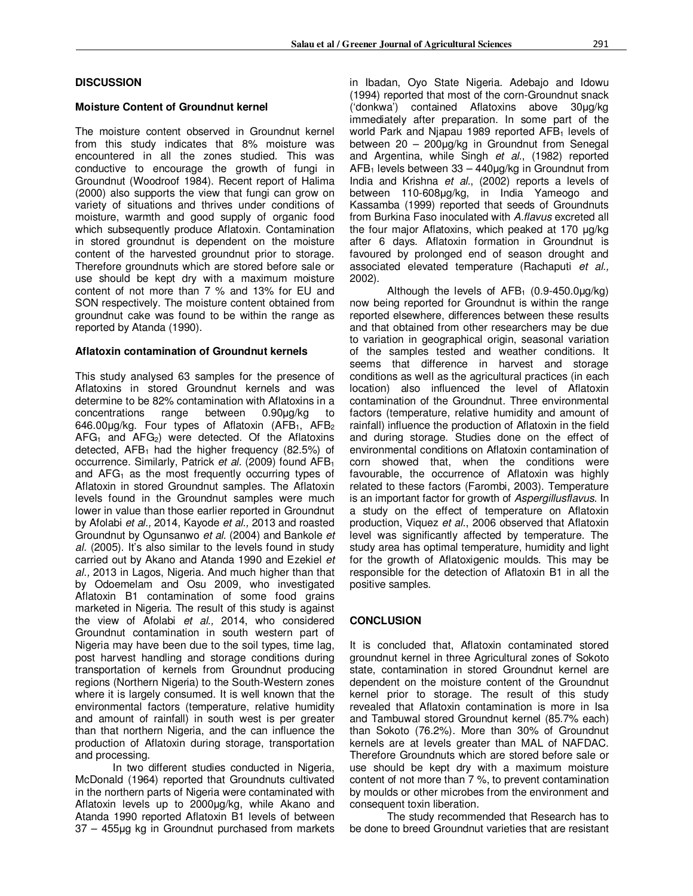# **DISCUSSION**

#### **Moisture Content of Groundnut kernel**

The moisture content observed in Groundnut kernel from this study indicates that 8% moisture was encountered in all the zones studied. This was conductive to encourage the growth of fungi in Groundnut (Woodroof 1984). Recent report of Halima (2000) also supports the view that fungi can grow on variety of situations and thrives under conditions of moisture, warmth and good supply of organic food which subsequently produce Aflatoxin. Contamination in stored groundnut is dependent on the moisture content of the harvested groundnut prior to storage. Therefore groundnuts which are stored before sale or use should be kept dry with a maximum moisture content of not more than 7 % and 13% for EU and SON respectively. The moisture content obtained from groundnut cake was found to be within the range as reported by Atanda (1990).

#### **Aflatoxin contamination of Groundnut kernels**

This study analysed 63 samples for the presence of Aflatoxins in stored Groundnut kernels and was determine to be 82% contamination with Aflatoxins in a concentrations range between 0.90µg/kg to 646.00 $\mu$ g/kg. Four types of Aflatoxin (AFB<sub>1</sub>, AFB<sub>2</sub>  $AFG<sub>1</sub>$  and  $AFG<sub>2</sub>$ ) were detected. Of the Aflatoxins detected,  $AFB<sub>1</sub>$  had the higher frequency (82.5%) of occurrence. Similarly, Patrick *et al.* (2009) found AFB<sup>1</sup> and  $AFG<sub>1</sub>$  as the most frequently occurring types of Aflatoxin in stored Groundnut samples. The Aflatoxin levels found in the Groundnut samples were much lower in value than those earlier reported in Groundnut by Afolabi *et al.,* 2014, Kayode *et al.,* 2013 and roasted Groundnut by Ogunsanwo *et al.* (2004) and Bankole *et al.* (2005). It's also similar to the levels found in study carried out by Akano and Atanda 1990 and Ezekiel *et al.,* 2013 in Lagos, Nigeria. And much higher than that by Odoemelam and Osu 2009, who investigated Aflatoxin B1 contamination of some food grains marketed in Nigeria. The result of this study is against the view of Afolabi *et al.,* 2014, who considered Groundnut contamination in south western part of Nigeria may have been due to the soil types, time lag, post harvest handling and storage conditions during transportation of kernels from Groundnut producing regions (Northern Nigeria) to the South-Western zones where it is largely consumed. It is well known that the environmental factors (temperature, relative humidity and amount of rainfall) in south west is per greater than that northern Nigeria, and the can influence the production of Aflatoxin during storage, transportation and processing.

 In two different studies conducted in Nigeria, McDonald (1964) reported that Groundnuts cultivated in the northern parts of Nigeria were contaminated with Aflatoxin levels up to 2000µg/kg, while Akano and Atanda 1990 reported Aflatoxin B1 levels of between 37 – 455µg kg in Groundnut purchased from markets

in Ibadan, Oyo State Nigeria. Adebajo and Idowu (1994) reported that most of the corn-Groundnut snack ('donkwa') contained Aflatoxins above 30µg/kg immediately after preparation. In some part of the world Park and Njapau 1989 reported  $AFB<sub>1</sub>$  levels of between 20 – 200µg/kg in Groundnut from Senegal and Argentina, while Singh *et al.*, (1982) reported  $AFB<sub>1</sub>$  levels between 33 – 440 $\mu$ g/kg in Groundnut from India and Krishna *et al.*, (2002) reports a levels of between 110-608µg/kg, in India Yameogo and Kassamba (1999) reported that seeds of Groundnuts from Burkina Faso inoculated with *A.flavus* excreted all the four major Aflatoxins, which peaked at 170 ug/kg after 6 days. Aflatoxin formation in Groundnut is favoured by prolonged end of season drought and associated elevated temperature (Rachaputi *et al.,* 2002).

Although the levels of  $AFB<sub>1</sub>$  (0.9-450.0µg/kg) now being reported for Groundnut is within the range reported elsewhere, differences between these results and that obtained from other researchers may be due to variation in geographical origin, seasonal variation of the samples tested and weather conditions. It seems that difference in harvest and storage conditions as well as the agricultural practices (in each location) also influenced the level of Aflatoxin contamination of the Groundnut. Three environmental factors (temperature, relative humidity and amount of rainfall) influence the production of Aflatoxin in the field and during storage. Studies done on the effect of environmental conditions on Aflatoxin contamination of corn showed that, when the conditions were favourable, the occurrence of Aflatoxin was highly related to these factors (Farombi, 2003). Temperature is an important factor for growth of *Aspergillusflavus*. In a study on the effect of temperature on Aflatoxin production, Viquez *et al*., 2006 observed that Aflatoxin level was significantly affected by temperature. The study area has optimal temperature, humidity and light for the growth of Aflatoxigenic moulds. This may be responsible for the detection of Aflatoxin B1 in all the positive samples.

# **CONCLUSION**

It is concluded that, Aflatoxin contaminated stored groundnut kernel in three Agricultural zones of Sokoto state, contamination in stored Groundnut kernel are dependent on the moisture content of the Groundnut kernel prior to storage. The result of this study revealed that Aflatoxin contamination is more in Isa and Tambuwal stored Groundnut kernel (85.7% each) than Sokoto (76.2%). More than 30% of Groundnut kernels are at levels greater than MAL of NAFDAC. Therefore Groundnuts which are stored before sale or use should be kept dry with a maximum moisture content of not more than 7 %, to prevent contamination by moulds or other microbes from the environment and consequent toxin liberation.

 The study recommended that Research has to be done to breed Groundnut varieties that are resistant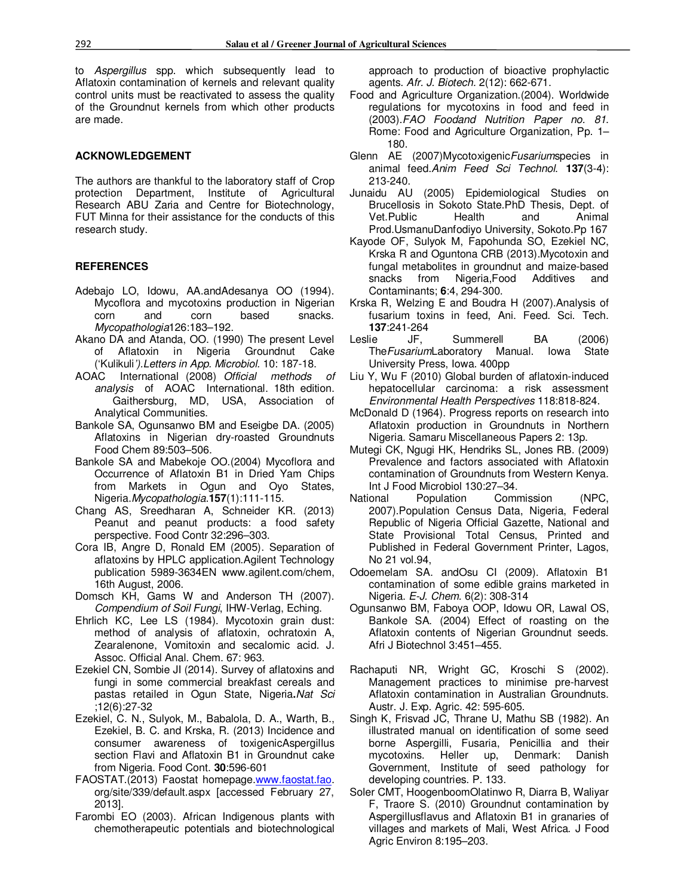to *Aspergillus* spp. which subsequently lead to Aflatoxin contamination of kernels and relevant quality control units must be reactivated to assess the quality of the Groundnut kernels from which other products are made.

# **ACKNOWLEDGEMENT**

The authors are thankful to the laboratory staff of Crop protection Department, Institute of Agricultural Research ABU Zaria and Centre for Biotechnology, FUT Minna for their assistance for the conducts of this research study.

# **REFERENCES**

- Adebajo LO, Idowu, AA.andAdesanya OO (1994). Mycoflora and mycotoxins production in Nigerian corn and corn based snacks. *Mycopathologia*126:183–192.
- Akano DA and Atanda, OO. (1990) The present Level of Aflatoxin in Nigeria Groundnut Cake ('Kulikuli*').Letters in App. Microbiol.* 10: 187-18.
- AOAC International (2008) *Official methods of analysis* of AOAC International. 18th edition. Gaithersburg, MD, USA, Association of Analytical Communities.
- Bankole SA, Ogunsanwo BM and Eseigbe DA. (2005) Aflatoxins in Nigerian dry-roasted Groundnuts Food Chem 89:503–506.
- Bankole SA and Mabekoje OO.(2004) Mycoflora and Occurrence of Aflatoxin B1 in Dried Yam Chips from Markets in Ogun and Oyo States, Nigeria.*Mycopathologia*.**157**(1):111-115.
- Chang AS, Sreedharan A, Schneider KR. (2013) Peanut and peanut products: a food safety perspective. Food Contr 32:296–303.
- Cora IB, Angre D, Ronald EM (2005). Separation of aflatoxins by HPLC application.Agilent Technology publication 5989-3634EN www.agilent.com/chem, 16th August, 2006.
- Domsch KH, Gams W and Anderson TH (2007). *Compendium of Soil Fungi*, IHW-Verlag, Eching.
- Ehrlich KC, Lee LS (1984). Mycotoxin grain dust: method of analysis of aflatoxin, ochratoxin A, Zearalenone, Vomitoxin and secalomic acid. J. Assoc. Official Anal. Chem. 67: 963.
- Ezekiel CN, Sombie JI (2014). Survey of aflatoxins and fungi in some commercial breakfast cereals and pastas retailed in Ogun State, Nigeria**.***Nat Sci* ;12(6):27-32
- Ezekiel, C. N., Sulyok, M., Babalola, D. A., Warth, B., Ezekiel, B. C. and Krska, R. (2013) Incidence and consumer awareness of toxigenicAspergillus section Flavi and Aflatoxin B1 in Groundnut cake from Nigeria. Food Cont. **30**:596-601
- FAOSTAT.(2013) Faostat homepage.www.faostat.fao. org/site/339/default.aspx [accessed February 27, 2013].
- Farombi EO (2003). African Indigenous plants with chemotherapeutic potentials and biotechnological

approach to production of bioactive prophylactic agents. *Afr. J. Biotech.* 2(12): 662-671.

- Food and Agriculture Organization.(2004). Worldwide regulations for mycotoxins in food and feed in (2003).*FAO Foodand Nutrition Paper no. 81*. Rome: Food and Agriculture Organization, Pp. 1– 180.
- Glenn AE (2007)Mycotoxigenic*Fusarium*species in animal feed.*Anim Feed Sci Technol*. **137**(3-4): 213-240.
- Junaidu AU (2005) Epidemiological Studies on Brucellosis in Sokoto State.PhD Thesis, Dept. of Vet.Public Health and Animal Prod.UsmanuDanfodiyo University, Sokoto.Pp 167
- Kayode OF, Sulyok M, Fapohunda SO, Ezekiel NC, Krska R and Oguntona CRB (2013).Mycotoxin and fungal metabolites in groundnut and maize-based snacks from Nigeria,Food Additives and Contaminants; **6**:4, 294-300.
- Krska R, Welzing E and Boudra H (2007).Analysis of fusarium toxins in feed, Ani. Feed. Sci. Tech. **137**:241-264
- Leslie JF, Summerell BA (2006) The*Fusarium*Laboratory Manual. Iowa State University Press, Iowa. 400pp
- Liu Y, Wu F (2010) Global burden of aflatoxin-induced hepatocellular carcinoma: a risk assessment *Environmental Health Perspectives* 118:818-824.
- McDonald D (1964). Progress reports on research into Aflatoxin production in Groundnuts in Northern Nigeria. Samaru Miscellaneous Papers 2: 13p.
- Mutegi CK, Ngugi HK, Hendriks SL, Jones RB. (2009) Prevalence and factors associated with Aflatoxin contamination of Groundnuts from Western Kenya. Int J Food Microbiol 130:27–34.
- National Population Commission (NPC, 2007).Population Census Data, Nigeria, Federal Republic of Nigeria Official Gazette, National and State Provisional Total Census, Printed and Published in Federal Government Printer, Lagos, No 21 vol.94,
- Odoemelam SA. andOsu CI (2009). Aflatoxin B1 contamination of some edible grains marketed in Nigeria. *E-J. Chem.* 6(2): 308-314
- Ogunsanwo BM, Faboya OOP, Idowu OR, Lawal OS, Bankole SA. (2004) Effect of roasting on the Aflatoxin contents of Nigerian Groundnut seeds. Afri J Biotechnol 3:451–455.
- Rachaputi NR, Wright GC, Kroschi S (2002). Management practices to minimise pre-harvest Aflatoxin contamination in Australian Groundnuts. Austr. J. Exp. Agric. 42: 595-605.
- Singh K, Frisvad JC, Thrane U, Mathu SB (1982). An illustrated manual on identification of some seed borne Aspergilli, Fusaria, Penicillia and their mycotoxins. Heller up, Denmark: Danish Government, Institute of seed pathology for developing countries. P. 133.
- Soler CMT, HoogenboomOlatinwo R, Diarra B, Waliyar F, Traore S. (2010) Groundnut contamination by Aspergillusflavus and Aflatoxin B1 in granaries of villages and markets of Mali, West Africa. J Food Agric Environ 8:195–203.